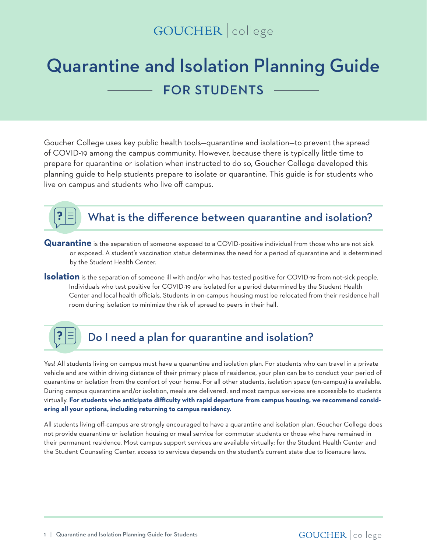## GOUCHER | college

# Quarantine and Isolation Planning Guide FOR STUDENTS

Goucher College uses key public health tools—quarantine and isolation—to prevent the spread of COVID-19 among the campus community. However, because there is typically little time to prepare for quarantine or isolation when instructed to do so, Goucher College developed this planning guide to help students prepare to isolate or quarantine. This guide is for students who live on campus and students who live off campus.



### What is the difference between quarantine and isolation?

- **Quarantine** is the separation of someone exposed to a COVID-positive individual from those who are not sick or exposed. A student's vaccination status determines the need for a period of quarantine and is determined by the Student Health Center.
- **Isolation** is the separation of someone ill with and/or who has tested positive for COVID-19 from not-sick people. Individuals who test positive for COVID-19 are isolated for a period determined by the Student Health Center and local health officials. Students in on-campus housing must be relocated from their residence hall room during isolation to minimize the risk of spread to peers in their hall.

#### $\mathbf{S}$ Do I need a plan for quarantine and isolation?

Yes! All students living on campus must have a quarantine and isolation plan. For students who can travel in a private vehicle and are within driving distance of their primary place of residence, your plan can be to conduct your period of quarantine or isolation from the comfort of your home. For all other students, isolation space (on-campus) is available. During campus quarantine and/or isolation, meals are delivered, and most campus services are accessible to students virtually. **For students who anticipate difficulty with rapid departure from campus housing, we recommend considering all your options, including returning to campus residency.**

All students living off-campus are strongly encouraged to have a quarantine and isolation plan. Goucher College does not provide quarantine or isolation housing or meal service for commuter students or those who have remained in their permanent residence. Most campus support services are available virtually; for the Student Health Center and the Student Counseling Center, access to services depends on the student's current state due to licensure laws.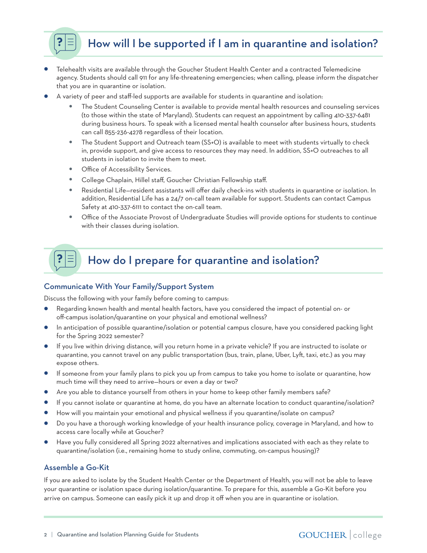How will I be supported if I am in quarantine and isolation?

- **•** Telehealth visits are available through the Goucher Student Health Center and a contracted Telemedicine agency. Students should call 911 for any life-threatening emergencies; when calling, please inform the dispatcher that you are in quarantine or isolation.
- **•** A variety of peer and staff-led supports are available for students in quarantine and isolation:
	- **•** The Student Counseling Center is available to provide mental health resources and counseling services (to those within the state of Maryland). Students can request an appointment by calling 410-337-6481 during business hours. To speak with a licensed mental health counselor after business hours, students can call 855-236-4278 regardless of their location.
	- **•** The Student Support and Outreach team (SS+O) is available to meet with students virtually to check in, provide support, and give access to resources they may need. In addition, SS+O outreaches to all students in isolation to invite them to meet.
	- **Office of Accessibility Services.**

?

- **•** College Chaplain, Hillel staff, Goucher Christian Fellowship staff.
- **•** Residential Life—resident assistants will offer daily check-ins with students in quarantine or isolation. In addition, Residential Life has a 24/7 on-call team available for support. Students can contact Campus Safety at 410-337-6111 to contact the on-call team.
- **•** Office of the Associate Provost of Undergraduate Studies will provide options for students to continue with their classes during isolation.

#### ? How do I prepare for quarantine and isolation?

#### Communicate With Your Family/Support System

Discuss the following with your family before coming to campus:

- **•** Regarding known health and mental health factors, have you considered the impact of potential on- or off-campus isolation/quarantine on your physical and emotional wellness?
- **•** In anticipation of possible quarantine/isolation or potential campus closure, have you considered packing light for the Spring 2022 semester?
- **•** If you live within driving distance, will you return home in a private vehicle? If you are instructed to isolate or quarantine, you cannot travel on any public transportation (bus, train, plane, Uber, Lyft, taxi, etc.) as you may expose others.
- **•** If someone from your family plans to pick you up from campus to take you home to isolate or quarantine, how much time will they need to arrive—hours or even a day or two?
- Are you able to distance yourself from others in your home to keep other family members safe?
- **•** If you cannot isolate or quarantine at home, do you have an alternate location to conduct quarantine/isolation?
- **•** How will you maintain your emotional and physical wellness if you quarantine/isolate on campus?
- **•** Do you have a thorough working knowledge of your health insurance policy, coverage in Maryland, and how to access care locally while at Goucher?
- **•** Have you fully considered all Spring 2022 alternatives and implications associated with each as they relate to quarantine/isolation (i.e., remaining home to study online, commuting, on-campus housing)?

#### Assemble a Go-Kit

If you are asked to isolate by the Student Health Center or the Department of Health, you will not be able to leave your quarantine or isolation space during isolation/quarantine. To prepare for this, assemble a Go-Kit before you arrive on campus. Someone can easily pick it up and drop it off when you are in quarantine or isolation.